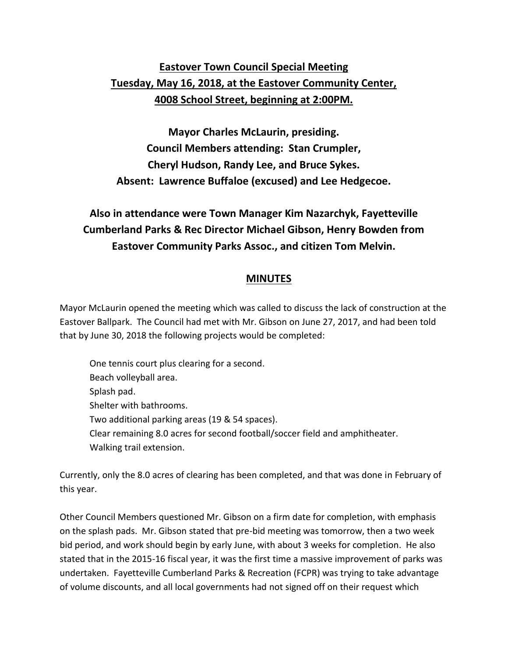## **Eastover Town Council Special Meeting Tuesday, May 16, 2018, at the Eastover Community Center, 4008 School Street, beginning at 2:00PM.**

**Mayor Charles McLaurin, presiding. Council Members attending: Stan Crumpler, Cheryl Hudson, Randy Lee, and Bruce Sykes. Absent: Lawrence Buffaloe (excused) and Lee Hedgecoe.**

## **Also in attendance were Town Manager Kim Nazarchyk, Fayetteville Cumberland Parks & Rec Director Michael Gibson, Henry Bowden from Eastover Community Parks Assoc., and citizen Tom Melvin.**

## **MINUTES**

Mayor McLaurin opened the meeting which was called to discuss the lack of construction at the Eastover Ballpark. The Council had met with Mr. Gibson on June 27, 2017, and had been told that by June 30, 2018 the following projects would be completed:

One tennis court plus clearing for a second. Beach volleyball area. Splash pad. Shelter with bathrooms. Two additional parking areas (19 & 54 spaces). Clear remaining 8.0 acres for second football/soccer field and amphitheater. Walking trail extension.

Currently, only the 8.0 acres of clearing has been completed, and that was done in February of this year.

Other Council Members questioned Mr. Gibson on a firm date for completion, with emphasis on the splash pads. Mr. Gibson stated that pre-bid meeting was tomorrow, then a two week bid period, and work should begin by early June, with about 3 weeks for completion. He also stated that in the 2015-16 fiscal year, it was the first time a massive improvement of parks was undertaken. Fayetteville Cumberland Parks & Recreation (FCPR) was trying to take advantage of volume discounts, and all local governments had not signed off on their request which